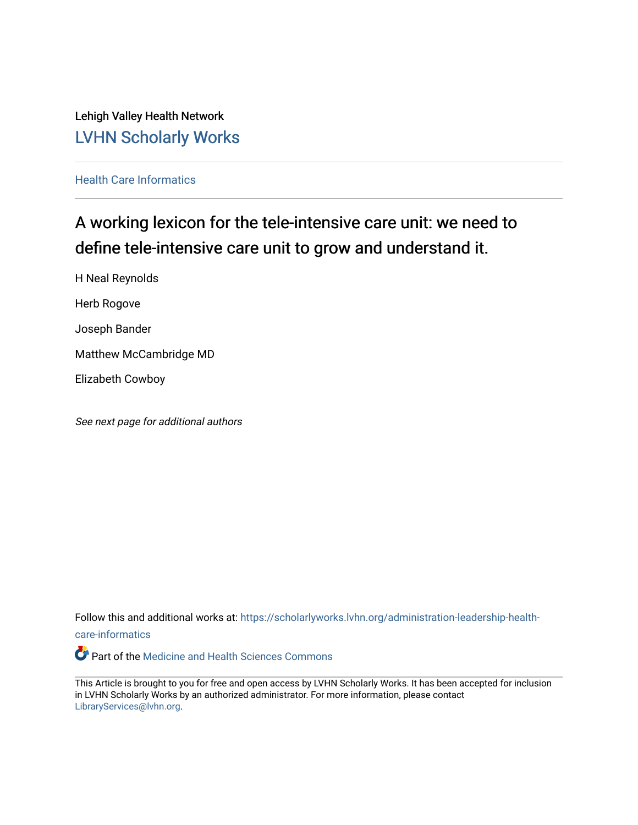Lehigh Valley Health Network [LVHN Scholarly Works](https://scholarlyworks.lvhn.org/)

[Health Care Informatics](https://scholarlyworks.lvhn.org/administration-leadership-health-care-informatics)

# A working lexicon for the tele-intensive care unit: we need to define tele-intensive care unit to grow and understand it.

H Neal Reynolds Herb Rogove Joseph Bander Matthew McCambridge MD Elizabeth Cowboy

See next page for additional authors

Follow this and additional works at: [https://scholarlyworks.lvhn.org/administration-leadership-health-](https://scholarlyworks.lvhn.org/administration-leadership-health-care-informatics?utm_source=scholarlyworks.lvhn.org%2Fadministration-leadership-health-care-informatics%2F2&utm_medium=PDF&utm_campaign=PDFCoverPages)

[care-informatics](https://scholarlyworks.lvhn.org/administration-leadership-health-care-informatics?utm_source=scholarlyworks.lvhn.org%2Fadministration-leadership-health-care-informatics%2F2&utm_medium=PDF&utm_campaign=PDFCoverPages) 

Part of the [Medicine and Health Sciences Commons](http://network.bepress.com/hgg/discipline/648?utm_source=scholarlyworks.lvhn.org%2Fadministration-leadership-health-care-informatics%2F2&utm_medium=PDF&utm_campaign=PDFCoverPages) 

This Article is brought to you for free and open access by LVHN Scholarly Works. It has been accepted for inclusion in LVHN Scholarly Works by an authorized administrator. For more information, please contact [LibraryServices@lvhn.org](mailto:LibraryServices@lvhn.org).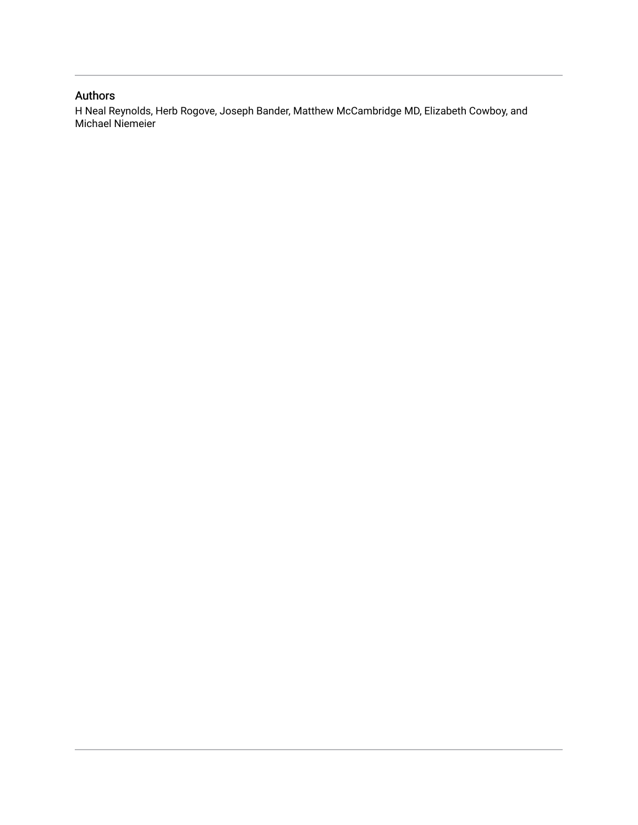## Authors

H Neal Reynolds, Herb Rogove, Joseph Bander, Matthew McCambridge MD, Elizabeth Cowboy, and Michael Niemeier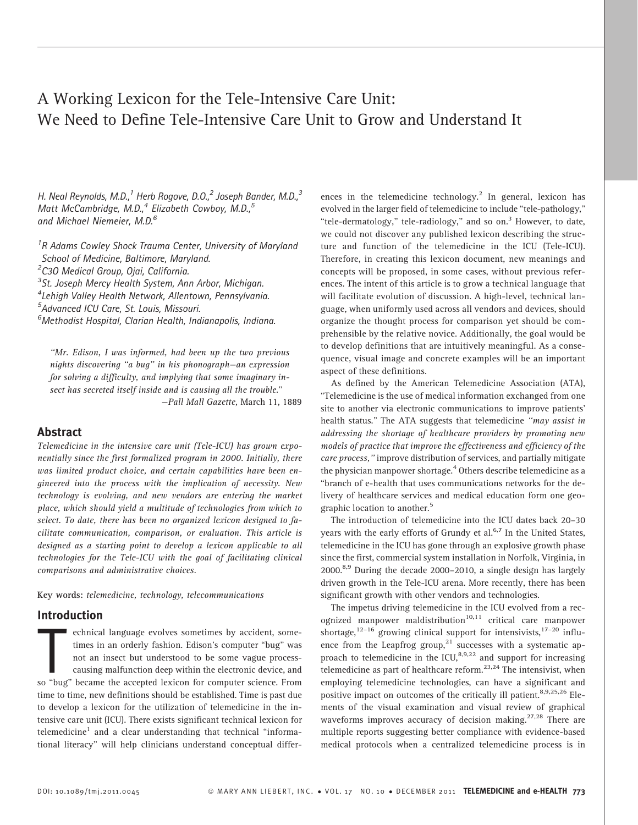## A Working Lexicon for the Tele-Intensive Care Unit: We Need to Define Tele-Intensive Care Unit to Grow and Understand It

H. Neal Reynolds, M.D., $^1$  Herb Rogove, D.O., $^2$  Joseph Bander, M.D., $^3$ Matt McCambridge, M.D., $4$  Elizabeth Cowboy, M.D., $5$ and Michael Niemeier, M.D.<sup>6</sup>

<sup>1</sup>R Adams Cowley Shock Trauma Center, University of Maryland School of Medicine, Baltimore, Maryland. <sup>2</sup>C30 Medical Group, Ojai, California. <sup>3</sup>St. Joseph Mercy Health System, Ann Arbor, Michigan. 4 Lehigh Valley Health Network, Allentown, Pennsylvania. 5 Advanced ICU Care, St. Louis, Missouri. 6 Methodist Hospital, Clarian Health, Indianapolis, Indiana.

''Mr. Edison, I was informed, had been up the two previous nights discovering ''a bug'' in his phonograph—an expression for solving a difficulty, and implying that some imaginary insect has secreted itself inside and is causing all the trouble.'' —Pall Mall Gazette, March 11, 1889

#### Abstract

Telemedicine in the intensive care unit (Tele-ICU) has grown exponentially since the first formalized program in 2000. Initially, there was limited product choice, and certain capabilities have been engineered into the process with the implication of necessity. New technology is evolving, and new vendors are entering the market place, which should yield a multitude of technologies from which to select. To date, there has been no organized lexicon designed to facilitate communication, comparison, or evaluation. This article is designed as a starting point to develop a lexicon applicable to all technologies for the Tele-ICU with the goal of facilitating clinical comparisons and administrative choices.

Key words: telemedicine, technology, telecommunications

## Introduction

echnical language evolves sometimes by accident, sometimes in an orderly fashion. Edison's computer "bug" was not an insect but understood to be some vague process-causing malfunction deep within the electronic device, and echnical language evolves sometimes by accident, sometimes in an orderly fashion. Edison's computer ''bug'' was not an insect but understood to be some vague processcausing malfunction deep within the electronic device, and time to time, new definitions should be established. Time is past due to develop a lexicon for the utilization of telemedicine in the intensive care unit (ICU). There exists significant technical lexicon for  $t$ elemedicine<sup>1</sup> and a clear understanding that technical "informational literacy'' will help clinicians understand conceptual differences in the telemedicine technology.<sup>2</sup> In general, lexicon has evolved in the larger field of telemedicine to include ''tele-pathology,'' "tele-dermatology," tele-radiology," and so on.<sup>3</sup> However, to date, we could not discover any published lexicon describing the structure and function of the telemedicine in the ICU (Tele-ICU). Therefore, in creating this lexicon document, new meanings and concepts will be proposed, in some cases, without previous references. The intent of this article is to grow a technical language that will facilitate evolution of discussion. A high-level, technical language, when uniformly used across all vendors and devices, should organize the thought process for comparison yet should be comprehensible by the relative novice. Additionally, the goal would be to develop definitions that are intuitively meaningful. As a consequence, visual image and concrete examples will be an important aspect of these definitions.

As defined by the American Telemedicine Association (ATA), ''Telemedicine is the use of medical information exchanged from one site to another via electronic communications to improve patients' health status." The ATA suggests that telemedicine "may assist in addressing the shortage of healthcare providers by promoting new models of practice that improve the effectiveness and efficiency of the care process," improve distribution of services, and partially mitigate the physician manpower shortage.<sup>4</sup> Others describe telemedicine as a ''branch of e-health that uses communications networks for the delivery of healthcare services and medical education form one geographic location to another.<sup>5</sup>

The introduction of telemedicine into the ICU dates back 20–30 years with the early efforts of Grundy et al.<sup>6,7</sup> In the United States, telemedicine in the ICU has gone through an explosive growth phase since the first, commercial system installation in Norfolk, Virginia, in  $2000.<sup>8,9</sup>$  During the decade 2000–2010, a single design has largely driven growth in the Tele-ICU arena. More recently, there has been significant growth with other vendors and technologies.

The impetus driving telemedicine in the ICU evolved from a recognized manpower maldistribution<sup>10,11</sup> critical care manpower shortage,<sup>12–16</sup> growing clinical support for intensivists,<sup>17–20</sup> influence from the Leapfrog group, $21$  successes with a systematic approach to telemedicine in the ICU, $^{8,9,22}$  and support for increasing telemedicine as part of healthcare reform.<sup>23,24</sup> The intensivist, when employing telemedicine technologies, can have a significant and positive impact on outcomes of the critically ill patient.<sup>8,9,25,26</sup> Elements of the visual examination and visual review of graphical waveforms improves accuracy of decision making.<sup>27,28</sup> There are multiple reports suggesting better compliance with evidence-based medical protocols when a centralized telemedicine process is in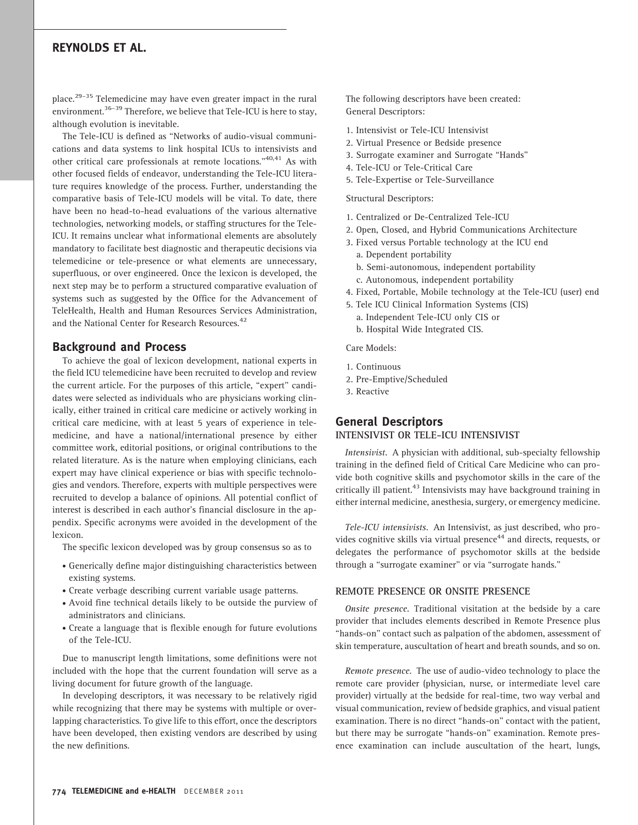place.<sup>29-35</sup> Telemedicine may have even greater impact in the rural environment.<sup>36-39</sup> Therefore, we believe that Tele-ICU is here to stay, although evolution is inevitable.

The Tele-ICU is defined as ''Networks of audio-visual communications and data systems to link hospital ICUs to intensivists and other critical care professionals at remote locations."<sup>40,41</sup> As with other focused fields of endeavor, understanding the Tele-ICU literature requires knowledge of the process. Further, understanding the comparative basis of Tele-ICU models will be vital. To date, there have been no head-to-head evaluations of the various alternative technologies, networking models, or staffing structures for the Tele-ICU. It remains unclear what informational elements are absolutely mandatory to facilitate best diagnostic and therapeutic decisions via telemedicine or tele-presence or what elements are unnecessary, superfluous, or over engineered. Once the lexicon is developed, the next step may be to perform a structured comparative evaluation of systems such as suggested by the Office for the Advancement of TeleHealth, Health and Human Resources Services Administration, and the National Center for Research Resources.<sup>42</sup>

#### Background and Process

To achieve the goal of lexicon development, national experts in the field ICU telemedicine have been recruited to develop and review the current article. For the purposes of this article, "expert" candidates were selected as individuals who are physicians working clinically, either trained in critical care medicine or actively working in critical care medicine, with at least 5 years of experience in telemedicine, and have a national/international presence by either committee work, editorial positions, or original contributions to the related literature. As is the nature when employing clinicians, each expert may have clinical experience or bias with specific technologies and vendors. Therefore, experts with multiple perspectives were recruited to develop a balance of opinions. All potential conflict of interest is described in each author's financial disclosure in the appendix. Specific acronyms were avoided in the development of the lexicon.

The specific lexicon developed was by group consensus so as to

- . Generically define major distinguishing characteristics between existing systems.
- . Create verbage describing current variable usage patterns.
- . Avoid fine technical details likely to be outside the purview of administrators and clinicians.
- . Create a language that is flexible enough for future evolutions of the Tele-ICU.

Due to manuscript length limitations, some definitions were not included with the hope that the current foundation will serve as a living document for future growth of the language.

In developing descriptors, it was necessary to be relatively rigid while recognizing that there may be systems with multiple or overlapping characteristics. To give life to this effort, once the descriptors have been developed, then existing vendors are described by using the new definitions.

The following descriptors have been created: General Descriptors:

- 1. Intensivist or Tele-ICU Intensivist
- 2. Virtual Presence or Bedside presence
- 3. Surrogate examiner and Surrogate ''Hands''
- 4. Tele-ICU or Tele-Critical Care
- 5. Tele-Expertise or Tele-Surveillance

Structural Descriptors:

- 1. Centralized or De-Centralized Tele-ICU
- 2. Open, Closed, and Hybrid Communications Architecture
- 3. Fixed versus Portable technology at the ICU end a. Dependent portability
	- b. Semi-autonomous, independent portability
	- c. Autonomous, independent portability
- 4. Fixed, Portable, Mobile technology at the Tele-ICU (user) end
- 5. Tele ICU Clinical Information Systems (CIS)
	- a. Independent Tele-ICU only CIS or
	- b. Hospital Wide Integrated CIS.

Care Models:

- 1. Continuous
- 2. Pre-Emptive/Scheduled
- 3. Reactive

## General Descriptors INTENSIVIST OR TELE-ICU INTENSIVIST

Intensivist. A physician with additional, sub-specialty fellowship training in the defined field of Critical Care Medicine who can provide both cognitive skills and psychomotor skills in the care of the critically ill patient.<sup>43</sup> Intensivists may have background training in either internal medicine, anesthesia, surgery, or emergency medicine.

Tele-ICU intensivists. An Intensivist, as just described, who provides cognitive skills via virtual presence<sup>44</sup> and directs, requests, or delegates the performance of psychomotor skills at the bedside through a ''surrogate examiner'' or via ''surrogate hands.''

#### REMOTE PRESENCE OR ONSITE PRESENCE

Onsite presence. Traditional visitation at the bedside by a care provider that includes elements described in Remote Presence plus "hands-on" contact such as palpation of the abdomen, assessment of skin temperature, auscultation of heart and breath sounds, and so on.

Remote presence. The use of audio-video technology to place the remote care provider (physician, nurse, or intermediate level care provider) virtually at the bedside for real-time, two way verbal and visual communication, review of bedside graphics, and visual patient examination. There is no direct ''hands-on'' contact with the patient, but there may be surrogate ''hands-on'' examination. Remote presence examination can include auscultation of the heart, lungs,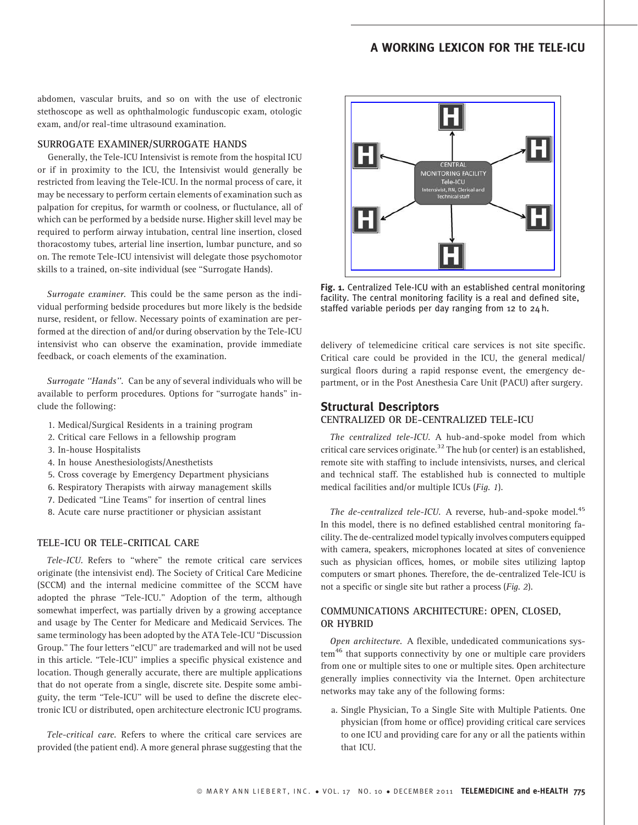abdomen, vascular bruits, and so on with the use of electronic stethoscope as well as ophthalmologic funduscopic exam, otologic exam, and/or real-time ultrasound examination.

#### SURROGATE EXAMINER/SURROGATE HANDS

Generally, the Tele-ICU Intensivist is remote from the hospital ICU or if in proximity to the ICU, the Intensivist would generally be restricted from leaving the Tele-ICU. In the normal process of care, it may be necessary to perform certain elements of examination such as palpation for crepitus, for warmth or coolness, or fluctulance, all of which can be performed by a bedside nurse. Higher skill level may be required to perform airway intubation, central line insertion, closed thoracostomy tubes, arterial line insertion, lumbar puncture, and so on. The remote Tele-ICU intensivist will delegate those psychomotor skills to a trained, on-site individual (see "Surrogate Hands).

Surrogate examiner. This could be the same person as the individual performing bedside procedures but more likely is the bedside nurse, resident, or fellow. Necessary points of examination are performed at the direction of and/or during observation by the Tele-ICU intensivist who can observe the examination, provide immediate feedback, or coach elements of the examination.

Surrogate "Hands". Can be any of several individuals who will be available to perform procedures. Options for ''surrogate hands'' include the following:

- 1. Medical/Surgical Residents in a training program
- 2. Critical care Fellows in a fellowship program
- 3. In-house Hospitalists
- 4. In house Anesthesiologists/Anesthetists
- 5. Cross coverage by Emergency Department physicians
- 6. Respiratory Therapists with airway management skills
- 7. Dedicated ''Line Teams'' for insertion of central lines
- 8. Acute care nurse practitioner or physician assistant

#### TELE-ICU OR TELE-CRITICAL CARE

Tele-ICU. Refers to ''where'' the remote critical care services originate (the intensivist end). The Society of Critical Care Medicine (SCCM) and the internal medicine committee of the SCCM have adopted the phrase "Tele-ICU." Adoption of the term, although somewhat imperfect, was partially driven by a growing acceptance and usage by The Center for Medicare and Medicaid Services. The same terminology has been adopted by the ATA Tele-ICU ''Discussion Group.'' The four letters ''eICU'' are trademarked and will not be used in this article. ''Tele-ICU'' implies a specific physical existence and location. Though generally accurate, there are multiple applications that do not operate from a single, discrete site. Despite some ambiguity, the term ''Tele-ICU'' will be used to define the discrete electronic ICU or distributed, open architecture electronic ICU programs.

Tele-critical care. Refers to where the critical care services are provided (the patient end). A more general phrase suggesting that the



Fig. 1. Centralized Tele-ICU with an established central monitoring facility. The central monitoring facility is a real and defined site, staffed variable periods per day ranging from 12 to 24 h.

delivery of telemedicine critical care services is not site specific. Critical care could be provided in the ICU, the general medical/ surgical floors during a rapid response event, the emergency department, or in the Post Anesthesia Care Unit (PACU) after surgery.

#### Structural Descriptors

CENTRALIZED OR DE-CENTRALIZED TELE-ICU

The centralized tele-ICU. A hub-and-spoke model from which critical care services originate.<sup>32</sup> The hub (or center) is an established, remote site with staffing to include intensivists, nurses, and clerical and technical staff. The established hub is connected to multiple medical facilities and/or multiple ICUs (Fig. 1).

The de-centralized tele-ICU. A reverse, hub-and-spoke model.<sup>45</sup> In this model, there is no defined established central monitoring facility. The de-centralized model typically involves computers equipped with camera, speakers, microphones located at sites of convenience such as physician offices, homes, or mobile sites utilizing laptop computers or smart phones. Therefore, the de-centralized Tele-ICU is not a specific or single site but rather a process (Fig. 2).

## COMMUNICATIONS ARCHITECTURE: OPEN, CLOSED, OR HYBRID

Open architecture. A flexible, undedicated communications system<sup>46</sup> that supports connectivity by one or multiple care providers from one or multiple sites to one or multiple sites. Open architecture generally implies connectivity via the Internet. Open architecture networks may take any of the following forms:

a. Single Physician, To a Single Site with Multiple Patients. One physician (from home or office) providing critical care services to one ICU and providing care for any or all the patients within that ICU.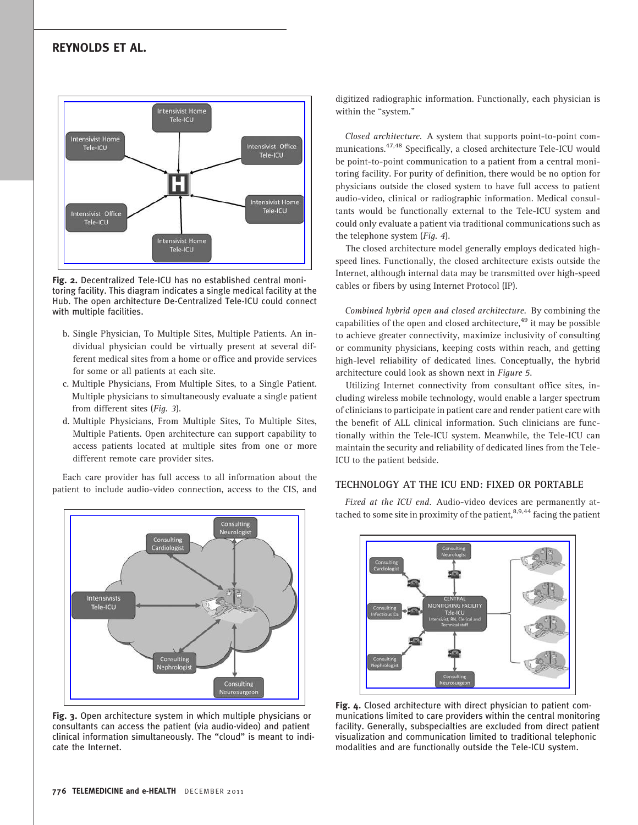

Fig. 2. Decentralized Tele-ICU has no established central monitoring facility. This diagram indicates a single medical facility at the Hub. The open architecture De-Centralized Tele-ICU could connect with multiple facilities.

- b. Single Physician, To Multiple Sites, Multiple Patients. An individual physician could be virtually present at several different medical sites from a home or office and provide services for some or all patients at each site.
- c. Multiple Physicians, From Multiple Sites, to a Single Patient. Multiple physicians to simultaneously evaluate a single patient from different sites (Fig. 3).
- d. Multiple Physicians, From Multiple Sites, To Multiple Sites, Multiple Patients. Open architecture can support capability to access patients located at multiple sites from one or more different remote care provider sites.

Each care provider has full access to all information about the patient to include audio-video connection, access to the CIS, and



Fig. 3. Open architecture system in which multiple physicians or consultants can access the patient (via audio-video) and patient clinical information simultaneously. The ''cloud'' is meant to indicate the Internet.

digitized radiographic information. Functionally, each physician is within the "system."

Closed architecture. A system that supports point-to-point communications.<sup>47,48</sup> Specifically, a closed architecture Tele-ICU would be point-to-point communication to a patient from a central monitoring facility. For purity of definition, there would be no option for physicians outside the closed system to have full access to patient audio-video, clinical or radiographic information. Medical consultants would be functionally external to the Tele-ICU system and could only evaluate a patient via traditional communications such as the telephone system (Fig. 4).

The closed architecture model generally employs dedicated highspeed lines. Functionally, the closed architecture exists outside the Internet, although internal data may be transmitted over high-speed cables or fibers by using Internet Protocol (IP).

Combined hybrid open and closed architecture. By combining the capabilities of the open and closed architecture, $49$  it may be possible to achieve greater connectivity, maximize inclusivity of consulting or community physicians, keeping costs within reach, and getting high-level reliability of dedicated lines. Conceptually, the hybrid architecture could look as shown next in Figure 5.

Utilizing Internet connectivity from consultant office sites, including wireless mobile technology, would enable a larger spectrum of clinicians to participate in patient care and render patient care with the benefit of ALL clinical information. Such clinicians are functionally within the Tele-ICU system. Meanwhile, the Tele-ICU can maintain the security and reliability of dedicated lines from the Tele-ICU to the patient bedside.

#### TECHNOLOGY AT THE ICU END: FIXED OR PORTABLE

Fixed at the ICU end. Audio-video devices are permanently attached to some site in proximity of the patient,  $8,9,44$  facing the patient



Fig. 4. Closed architecture with direct physician to patient communications limited to care providers within the central monitoring facility. Generally, subspecialties are excluded from direct patient visualization and communication limited to traditional telephonic modalities and are functionally outside the Tele-ICU system.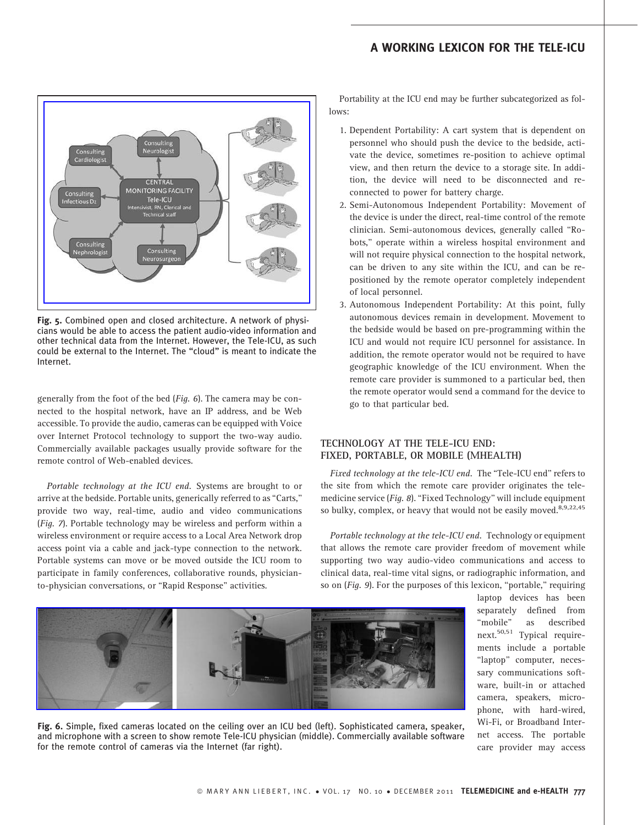

Fig. 5. Combined open and closed architecture. A network of physicians would be able to access the patient audio-video information and other technical data from the Internet. However, the Tele-ICU, as such could be external to the Internet. The ''cloud'' is meant to indicate the Internet.

generally from the foot of the bed (Fig. 6). The camera may be connected to the hospital network, have an IP address, and be Web accessible. To provide the audio, cameras can be equipped with Voice over Internet Protocol technology to support the two-way audio. Commercially available packages usually provide software for the remote control of Web-enabled devices.

Portable technology at the ICU end. Systems are brought to or arrive at the bedside. Portable units, generically referred to as "Carts," provide two way, real-time, audio and video communications (Fig. 7). Portable technology may be wireless and perform within a wireless environment or require access to a Local Area Network drop access point via a cable and jack-type connection to the network. Portable systems can move or be moved outside the ICU room to participate in family conferences, collaborative rounds, physicianto-physician conversations, or ''Rapid Response'' activities.

Portability at the ICU end may be further subcategorized as follows:

- 1. Dependent Portability: A cart system that is dependent on personnel who should push the device to the bedside, activate the device, sometimes re-position to achieve optimal view, and then return the device to a storage site. In addition, the device will need to be disconnected and reconnected to power for battery charge.
- 2. Semi-Autonomous Independent Portability: Movement of the device is under the direct, real-time control of the remote clinician. Semi-autonomous devices, generally called ''Robots,'' operate within a wireless hospital environment and will not require physical connection to the hospital network, can be driven to any site within the ICU, and can be repositioned by the remote operator completely independent of local personnel.
- 3. Autonomous Independent Portability: At this point, fully autonomous devices remain in development. Movement to the bedside would be based on pre-programming within the ICU and would not require ICU personnel for assistance. In addition, the remote operator would not be required to have geographic knowledge of the ICU environment. When the remote care provider is summoned to a particular bed, then the remote operator would send a command for the device to go to that particular bed.

## TECHNOLOGY AT THE TELE-ICU END: FIXED, PORTABLE, OR MOBILE (MHEALTH)

Fixed technology at the tele-ICU end. The "Tele-ICU end" refers to the site from which the remote care provider originates the telemedicine service (Fig. 8). "Fixed Technology" will include equipment so bulky, complex, or heavy that would not be easily moved.<sup>8,9,22,45</sup>

Portable technology at the tele-ICU end. Technology or equipment that allows the remote care provider freedom of movement while supporting two way audio-video communications and access to clinical data, real-time vital signs, or radiographic information, and so on (Fig. 9). For the purposes of this lexicon, "portable," requiring



laptop devices has been separately defined from "mobile" as described next.50,51 Typical requirements include a portable "laptop" computer, necessary communications software, built-in or attached camera, speakers, microphone, with hard-wired, Wi-Fi, or Broadband Internet access. The portable care provider may access

Fig. 6. Simple, fixed cameras located on the ceiling over an ICU bed (left). Sophisticated camera, speaker, and microphone with a screen to show remote Tele-ICU physician (middle). Commercially available software for the remote control of cameras via the Internet (far right).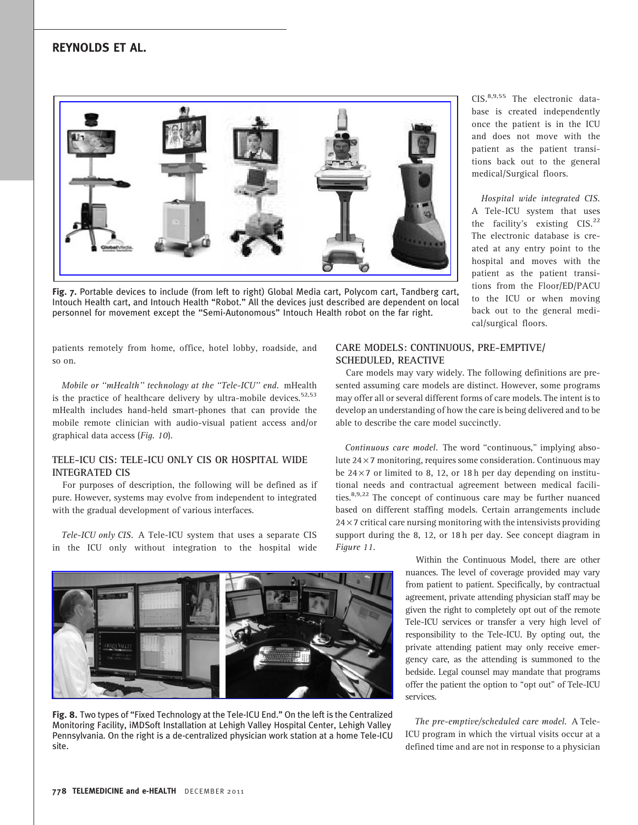

Fig. 7. Portable devices to include (from left to right) Global Media cart, Polycom cart, Tandberg cart, Intouch Health cart, and Intouch Health ''Robot.'' All the devices just described are dependent on local personnel for movement except the ''Semi-Autonomous'' Intouch Health robot on the far right.

patients remotely from home, office, hotel lobby, roadside, and so on.

Mobile or ''mHealth'' technology at the ''Tele-ICU'' end. mHealth is the practice of healthcare delivery by ultra-mobile devices.<sup>52,53</sup> mHealth includes hand-held smart-phones that can provide the mobile remote clinician with audio-visual patient access and/or graphical data access (Fig. 10).

## TELE-ICU CIS: TELE-ICU ONLY CIS OR HOSPITAL WIDE INTEGRATED CIS

For purposes of description, the following will be defined as if pure. However, systems may evolve from independent to integrated with the gradual development of various interfaces.

Tele-ICU only CIS. A Tele-ICU system that uses a separate CIS in the ICU only without integration to the hospital wide



Fig. 8. Two types of "Fixed Technology at the Tele-ICU End." On the left is the Centralized Monitoring Facility, iMDSoft Installation at Lehigh Valley Hospital Center, Lehigh Valley Pennsylvania. On the right is a de-centralized physician work station at a home Tele-ICU site.

#### CARE MODELS: CONTINUOUS, PRE-EMPTIVE/ SCHEDULED, REACTIVE

Care models may vary widely. The following definitions are presented assuming care models are distinct. However, some programs may offer all or several different forms of care models. The intent is to develop an understanding of how the care is being delivered and to be able to describe the care model succinctly.

CIS.8,9,55 The electronic database is created independently once the patient is in the ICU and does not move with the patient as the patient transitions back out to the general medical/Surgical floors.

Hospital wide integrated CIS. A Tele-ICU system that uses the facility's existing  $CIS.<sup>22</sup>$ The electronic database is created at any entry point to the hospital and moves with the patient as the patient transitions from the Floor/ED/PACU to the ICU or when moving back out to the general medi-

cal/surgical floors.

Continuous care model. The word "continuous," implying absolute  $24 \times 7$  monitoring, requires some consideration. Continuous may be  $24 \times 7$  or limited to 8, 12, or 18 h per day depending on institutional needs and contractual agreement between medical facilities. $8,9,22$  The concept of continuous care may be further nuanced based on different staffing models. Certain arrangements include  $24 \times 7$  critical care nursing monitoring with the intensivists providing support during the 8, 12, or 18 h per day. See concept diagram in Figure 11.

> Within the Continuous Model, there are other nuances. The level of coverage provided may vary from patient to patient. Specifically, by contractual agreement, private attending physician staff may be given the right to completely opt out of the remote Tele-ICU services or transfer a very high level of responsibility to the Tele-ICU. By opting out, the private attending patient may only receive emergency care, as the attending is summoned to the bedside. Legal counsel may mandate that programs offer the patient the option to "opt out" of Tele-ICU services.

> The pre-emptive/scheduled care model. A Tele-ICU program in which the virtual visits occur at a defined time and are not in response to a physician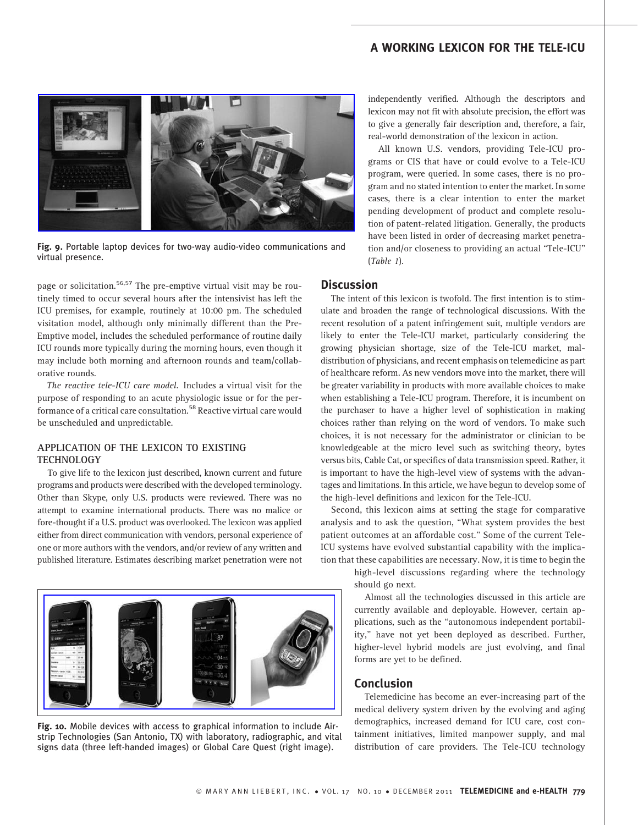

Fig. 9. Portable laptop devices for two-way audio-video communications and virtual presence.

page or solicitation.<sup>56,57</sup> The pre-emptive virtual visit may be routinely timed to occur several hours after the intensivist has left the ICU premises, for example, routinely at 10:00 pm. The scheduled visitation model, although only minimally different than the Pre-Emptive model, includes the scheduled performance of routine daily ICU rounds more typically during the morning hours, even though it may include both morning and afternoon rounds and team/collaborative rounds.

The reactive tele-ICU care model. Includes a virtual visit for the purpose of responding to an acute physiologic issue or for the performance of a critical care consultation.<sup>58</sup> Reactive virtual care would be unscheduled and unpredictable.

## APPLICATION OF THE LEXICON TO EXISTING **TECHNOLOGY**

To give life to the lexicon just described, known current and future programs and products were described with the developed terminology. Other than Skype, only U.S. products were reviewed. There was no attempt to examine international products. There was no malice or fore-thought if a U.S. product was overlooked. The lexicon was applied either from direct communication with vendors, personal experience of one or more authors with the vendors, and/or review of any written and published literature. Estimates describing market penetration were not



Fig. 10. Mobile devices with access to graphical information to include Airstrip Technologies (San Antonio, TX) with laboratory, radiographic, and vital signs data (three left-handed images) or Global Care Quest (right image).

independently verified. Although the descriptors and lexicon may not fit with absolute precision, the effort was to give a generally fair description and, therefore, a fair, real-world demonstration of the lexicon in action.

All known U.S. vendors, providing Tele-ICU programs or CIS that have or could evolve to a Tele-ICU program, were queried. In some cases, there is no program and no stated intention to enter the market. In some cases, there is a clear intention to enter the market pending development of product and complete resolution of patent-related litigation. Generally, the products have been listed in order of decreasing market penetration and/or closeness to providing an actual ''Tele-ICU'' (Table 1).

#### **Discussion**

The intent of this lexicon is twofold. The first intention is to stimulate and broaden the range of technological discussions. With the recent resolution of a patent infringement suit, multiple vendors are likely to enter the Tele-ICU market, particularly considering the growing physician shortage, size of the Tele-ICU market, maldistribution of physicians, and recent emphasis on telemedicine as part of healthcare reform. As new vendors move into the market, there will be greater variability in products with more available choices to make when establishing a Tele-ICU program. Therefore, it is incumbent on the purchaser to have a higher level of sophistication in making choices rather than relying on the word of vendors. To make such choices, it is not necessary for the administrator or clinician to be knowledgeable at the micro level such as switching theory, bytes versus bits, Cable Cat, or specifics of data transmission speed. Rather, it is important to have the high-level view of systems with the advantages and limitations. In this article, we have begun to develop some of the high-level definitions and lexicon for the Tele-ICU.

Second, this lexicon aims at setting the stage for comparative analysis and to ask the question, ''What system provides the best patient outcomes at an affordable cost.'' Some of the current Tele-ICU systems have evolved substantial capability with the implication that these capabilities are necessary. Now, it is time to begin the

high-level discussions regarding where the technology should go next.

Almost all the technologies discussed in this article are currently available and deployable. However, certain applications, such as the ''autonomous independent portability,'' have not yet been deployed as described. Further, higher-level hybrid models are just evolving, and final forms are yet to be defined.

#### Conclusion

Telemedicine has become an ever-increasing part of the medical delivery system driven by the evolving and aging demographics, increased demand for ICU care, cost containment initiatives, limited manpower supply, and mal distribution of care providers. The Tele-ICU technology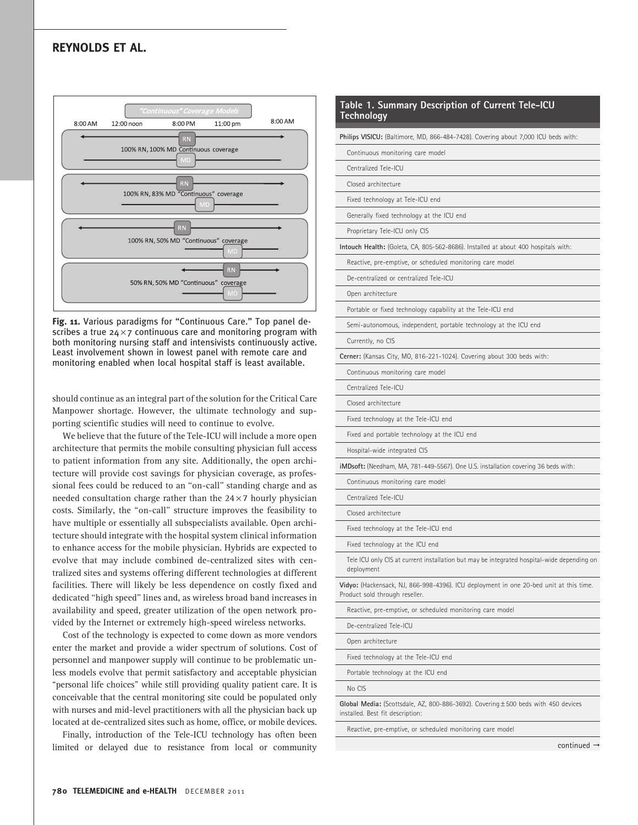

Fig. 11. Various paradigms for "Continuous Care." Top panel describes a true  $24 \times 7$  continuous care and monitoring program with both monitoring nursing staff and intensivists continuously active. Least involvement shown in lowest panel with remote care and monitoring enabled when local hospital staff is least available.

should continue as an integral part of the solution for the Critical Care Manpower shortage. However, the ultimate technology and supporting scientific studies will need to continue to evolve.

We believe that the future of the Tele-ICU will include a more open architecture that permits the mobile consulting physician full access to patient information from any site. Additionally, the open architecture will provide cost savings for physician coverage, as professional fees could be reduced to an ''on-call'' standing charge and as needed consultation charge rather than the  $24 \times 7$  hourly physician costs. Similarly, the ''on-call'' structure improves the feasibility to have multiple or essentially all subspecialists available. Open architecture should integrate with the hospital system clinical information to enhance access for the mobile physician. Hybrids are expected to evolve that may include combined de-centralized sites with centralized sites and systems offering different technologies at different facilities. There will likely be less dependence on costly fixed and dedicated ''high speed'' lines and, as wireless broad band increases in availability and speed, greater utilization of the open network provided by the Internet or extremely high-speed wireless networks.

Cost of the technology is expected to come down as more vendors enter the market and provide a wider spectrum of solutions. Cost of personnel and manpower supply will continue to be problematic unless models evolve that permit satisfactory and acceptable physician "personal life choices" while still providing quality patient care. It is conceivable that the central monitoring site could be populated only with nurses and mid-level practitioners with all the physician back up located at de-centralized sites such as home, office, or mobile devices.

Finally, introduction of the Tele-ICU technology has often been limited or delayed due to resistance from local or community

| Table 1. Summary Description of Current Tele-ICU<br><b>Technology</b>                                                    |
|--------------------------------------------------------------------------------------------------------------------------|
| <b>Philips VISICU:</b> (Baltimore, MD, 866-484-7428). Covering about 7,000 ICU beds with:                                |
| Continuous monitoring care model                                                                                         |
| Centralized Tele-ICU                                                                                                     |
| Closed architecture                                                                                                      |
| Fixed technology at Tele-ICU end                                                                                         |
| Generally fixed technology at the ICU end                                                                                |
| Proprietary Tele-ICU only CIS                                                                                            |
| Intouch Health: (Goleta, CA, 805-562-8686). Installed at about 400 hospitals with:                                       |
| Reactive, pre-emptive, or scheduled monitoring care model                                                                |
| De-centralized or centralized Tele-ICU                                                                                   |
| Open architecture                                                                                                        |
| Portable or fixed technology capability at the Tele-ICU end                                                              |
| Semi-autonomous, independent, portable technology at the ICU end                                                         |
| Currently, no CIS                                                                                                        |
| Cerner: (Kansas City, MO, 816-221-1024). Covering about 300 beds with:                                                   |
| Continuous monitoring care model                                                                                         |
| Centralized Tele-ICU                                                                                                     |
| Closed architecture                                                                                                      |
| Fixed technology at the Tele-ICU end                                                                                     |
| Fixed and portable technology at the ICU end                                                                             |
| Hospital-wide integrated CIS                                                                                             |
| iMDsoft: (Needham, MA, 781-449-5567). One U.S. installation covering 36 beds with:                                       |
| Continuous monitoring care model                                                                                         |
| Centralized Tele-ICU                                                                                                     |
| Closed architecture                                                                                                      |
| Fixed technology at the Tele-ICU end                                                                                     |
| Fixed technology at the ICU end                                                                                          |
| Tele ICU only CIS at current installation but may be integrated hospital-wide depending on<br>deployment                 |
| Vidyo: (Hackensack, NJ, 866-998-4396). ICU deployment in one 20-bed unit at this time.<br>Product sold through reseller. |
| Reactive, pre-emptive, or scheduled monitoring care model                                                                |
| De-centralized Tele-ICU                                                                                                  |
| Open architecture                                                                                                        |
| Fixed technology at the Tele-ICU end                                                                                     |
| Portable technology at the ICU end                                                                                       |
| No CIS                                                                                                                   |
| Global Media: (Scottsdale, AZ, 800-886-3692). Covering±500 beds with 450 devices<br>installed. Best fit description:     |
| Reactive, pre-emptive, or scheduled monitoring care model                                                                |

continued  $\rightarrow$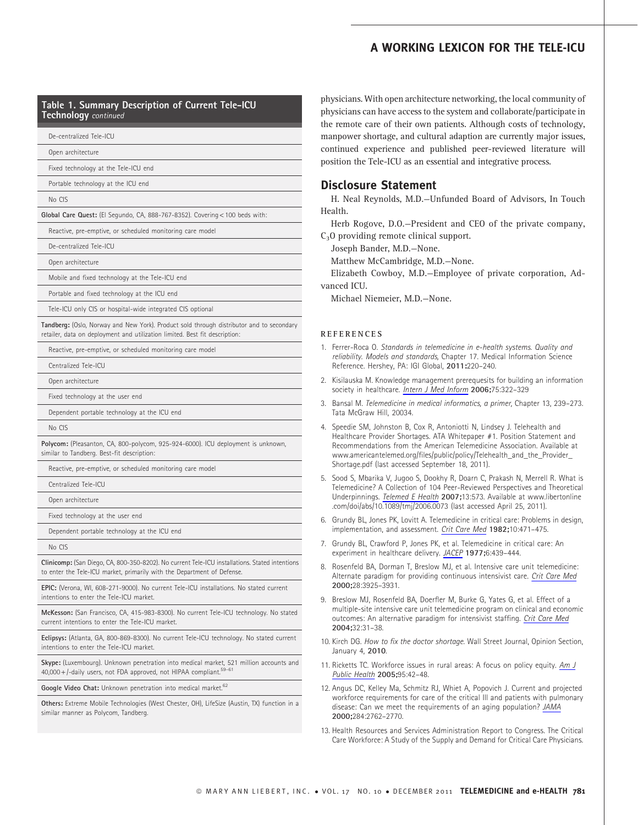#### Table 1. Summary Description of Current Tele-ICU Technology continued

De-centralized Tele-ICU

Open architecture

Fixed technology at the Tele-ICU end

Portable technology at the ICU end

No CIS

Global Care Quest: (El Segundo, CA, 888-767-8352). Covering < 100 beds with:

Reactive, pre-emptive, or scheduled monitoring care model

De-centralized Tele-ICU

Open architecture

Mobile and fixed technology at the Tele-ICU end

Portable and fixed technology at the ICU end

Tele-ICU only CIS or hospital-wide integrated CIS optional

Tandberg: (Oslo, Norway and New York). Product sold through distributor and to secondary retailer, data on deployment and utilization limited. Best fit description:

Reactive, pre-emptive, or scheduled monitoring care model

Centralized Tele-ICU

Open architecture

Fixed technology at the user end

Dependent portable technology at the ICU end

No CIS

Polycom: (Pleasanton, CA, 800-polycom, 925-924-6000). ICU deployment is unknown, similar to Tandberg. Best-fit description:

Reactive, pre-emptive, or scheduled monitoring care model

Centralized Tele-ICU

Open architecture

Fixed technology at the user end

Dependent portable technology at the ICU end

No CIS

Clinicomp: (San Diego, CA, 800-350-8202). No current Tele-ICU installations. Stated intentions to enter the Tele-ICU market, primarily with the Department of Defense.

EPIC: (Verona, WI, 608-271-9000). No current Tele-ICU installations. No stated current intentions to enter the Tele-ICU market.

McKesson: (San Francisco, CA, 415-983-8300). No current Tele-ICU technology. No stated current intentions to enter the Tele-ICU market.

Eclipsys: (Atlanta, GA, 800-869-8300). No current Tele-ICU technology. No stated current intentions to enter the Tele-ICU market.

Skype: (Luxembourg). Unknown penetration into medical market, 521 million accounts and  $40,000 +$  /-daily users, not FDA approved, not HIPAA compliant.<sup>59</sup>

Google Video Chat: Unknown penetration into medical market.<sup>62</sup>

Others: Extreme Mobile Technologies (West Chester, OH), LifeSize (Austin, TX) function in a similar manner as Polycom, Tandberg.

physicians. With open architecture networking, the local community of physicians can have access to the system and collaborate/participate in the remote care of their own patients. Although costs of technology, manpower shortage, and cultural adaption are currently major issues, continued experience and published peer-reviewed literature will position the Tele-ICU as an essential and integrative process.

## Disclosure Statement

H. Neal Reynolds, M.D.—Unfunded Board of Advisors, In Touch Health.

Herb Rogove, D.O.—President and CEO of the private company,  $C_3$ O providing remote clinical support.

Joseph Bander, M.D.—None.

Matthew McCambridge, M.D.—None.

Elizabeth Cowboy, M.D.—Employee of private corporation, Advanced ICU.

Michael Niemeier, M.D.—None.

#### REFERENCES

- 1. Ferrer-Roca O. Standards in telemedicine in e-health systems. Quality and reliability. Models and standards, Chapter 17. Medical Information Science Reference. Hershey, PA: IGI Global, 2011:220–240.
- 2. Kisilauska M. Knowledge management prerequesits for building an information society in healthcare. Intern J Med Inform 2006;75:322-329
- 3. Bansal M. Telemedicine in medical informatics, a primer, Chapter 13, 239–273. Tata McGraw Hill, 20034.
- 4. Speedie SM, Johnston B, Cox R, Antoniotti N, Lindsey J. Telehealth and Healthcare Provider Shortages. ATA Whitepaper #1. Position Statement and Recommendations from the American Telemedicine Association. Available at www.americantelemed.org/files/public/policy/Telehealth\_and\_the\_Provider\_ Shortage.pdf (last accessed September 18, 2011).
- 5. Sood S, Mbarika V, Jugoo S, Dookhy R, Doarn C, Prakash N, Merrell R. What is Telemedicine? A Collection of 104 Peer-Reviewed Perspectives and Theoretical Underpinnings. Telemed E Health 2007;13:573. Available at www.libertonline .com/doi/abs/10.1089/tmj/2006.0073 (last accessed April 25, 2011).
- 6. Grundy BL, Jones PK, Lovitt A. Telemedicine in critical care: Problems in design, implementation, and assessment. Crit Care Med 1982;10:471–475.
- 7. Grundy BL, Crawford P, Jones PK, et al. Telemedicine in critical care: An experiment in healthcare delivery. JACEP 1977;6:439–444.
- 8. Rosenfeld BA, Dorman T, Breslow MJ, et al. Intensive care unit telemedicine: Alternate paradigm for providing continuous intensivist care. Crit Care Med 2000;28:3925–3931.
- 9. Breslow MJ, Rosenfeld BA, Doerfler M, Burke G, Yates G, et al. Effect of a multiple-site intensive care unit telemedicine program on clinical and economic outcomes: An alternative paradigm for intensivist staffing. Crit Care Med 2004;32:31–38.
- 10. Kirch DG. How to fix the doctor shortage. Wall Street Journal, Opinion Section, January 4, 2010.
- 11. Ricketts TC. Workforce issues in rural areas: A focus on policy equity. Am J Public Health 2005;95:42-48.
- 12. Angus DC, Kelley Ma, Schmitz RJ, Whiet A, Popovich J. Current and projected workforce requirements for care of the critical Ill and patients with pulmonary disease: Can we meet the requirements of an aging population? JAMA 2000;284:2762–2770.
- 13. Health Resources and Services Administration Report to Congress. The Critical Care Workforce: A Study of the Supply and Demand for Critical Care Physicians.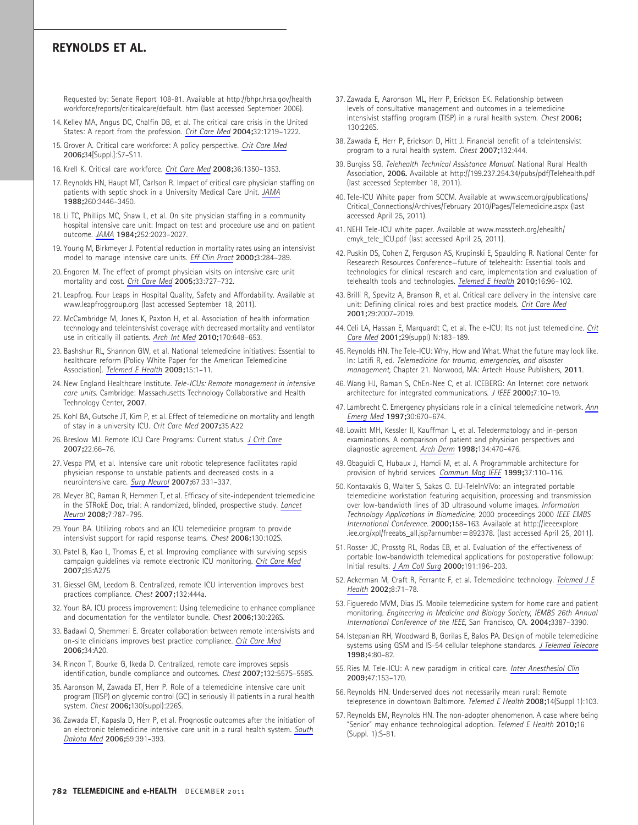Requested by: Senate Report 108-81. Available at http://bhpr.hrsa.gov/health workforce/reports/criticalcare/default. htm (last accessed September 2006).

- 14. Kelley MA, Angus DC, Chalfin DB, et al. The critical care crisis in the United States: A report from the profession. Crit Care Med 2004;32:1219–1222.
- 15. Grover A. Critical care workforce: A policy perspective. Crit Care Med 2006;34[Suppl.]:S7–S11.
- 16. Krell K. Critical care workforce. Crit Care Med 2008;36:1350–1353.
- 17. Reynolds HN, Haupt MT, Carlson R. Impact of critical care physician staffing on patients with septic shock in a University Medical Care Unit. JAMA 1988;260:3446–3450.
- 18. Li TC, Phillips MC, Shaw L, et al. On site physician staffing in a community hospital intensive care unit: Impact on test and procedure use and on patient outcome. JAMA 1984;252:2023–2027.
- 19. Young M, Birkmeyer J. Potential reduction in mortality rates using an intensivist model to manage intensive care units. *Eff Clin Pract* 2000;3:284-289.
- 20. Engoren M. The effect of prompt physician visits on intensive care unit mortality and cost. Crit Care Med 2005;33:727–732.
- 21. Leapfrog. Four Leaps in Hospital Quality, Safety and Affordability. Available at www.leapfroggroup.org (last accessed September 18, 2011).
- 22. McCambridge M, Jones K, Paxton H, et al. Association of health information technology and teleintensivist coverage with decreased mortality and ventilator use in critically ill patients. Arch Int Med 2010;170:648-653.
- 23. Bashshur RL, Shannon GW, et al. National telemedicine initiatives: Essential to healthcare reform (Policy White Paper for the American Telemedicine Association). Telemed E Health 2009;15:1–11.
- 24. New England Healthcare Institute. Tele-ICUs: Remote management in intensive care units. Cambridge: Massachusetts Technology Collaborative and Health Technology Center, 2007.
- 25. Kohl BA, Gutsche JT, Kim P, et al. Effect of telemedicine on mortality and length of stay in a university ICU. Crit Care Med 2007;35:A22
- 26. Breslow MJ. Remote ICU Care Programs: Current status. J Crit Care 2007;22:66–76.
- 27. Vespa PM, et al. Intensive care unit robotic telepresence facilitates rapid physician response to unstable patients and decreased costs in a neurointensive care. Surg Neurol 2007;67:331–337.
- 28. Meyer BC, Raman R, Hemmen T, et al. Efficacy of site-independent telemedicine in the STRokE Doc, trial: A randomized, blinded, prospective study. Lancet Neurol 2008;7:787–795.
- 29. Youn BA. Utilizing robots and an ICU telemedicine program to provide intensivist support for rapid response teams. Chest 2006;130:102S.
- 30. Patel B, Kao L, Thomas E, et al. Improving compliance with surviving sepsis campaign guidelines via remote electronic ICU monitoring. Crit Care Med 2007;35:A275
- 31. Giessel GM, Leedom B. Centralized, remote ICU intervention improves best practices compliance. Chest 2007;132:444a.
- 32. Youn BA. ICU process improvement: Using telemedicine to enhance compliance and documentation for the ventilator bundle. Chest 2006;130:226S.
- 33. Badawi O, Shemmeri E. Greater collaboration between remote intensivists and on-site clinicians improves best practice compliance. Crit Care Med 2006;34:A20.
- 34. Rincon T, Bourke G, Ikeda D. Centralized, remote care improves sepsis identification, bundle compliance and outcomes. Chest 2007;132:557S–558S.
- 35. Aaronson M, Zawada ET, Herr P. Role of a telemedicine intensive care unit program (TISP) on glycemic control (GC) in seriously ill patients in a rural health system. Chest 2006;130(suppl):226S.
- 36. Zawada ET, Kapasla D, Herr P, et al. Prognostic outcomes after the initiation of an electronic telemedicine intensive care unit in a rural health system. South Dakota Med 2006;59:391–393.
- 37. Zawada E, Aaronson ML, Herr P, Erickson EK. Relationship between levels of consultative management and outcomes in a telemedicine intensivist staffing program (TISP) in a rural health system. Chest 2006; 130:226S.
- 38. Zawada E, Herr P, Erickson D, Hitt J. Financial benefit of a teleintensivist program to a rural health system. Chest 2007;132:444.
- 39. Burgiss SG. Telehealth Technical Assistance Manual. National Rural Health Association, 2006. Available at http://199.237.254.34/pubs/pdf/Telehealth.pdf (last accessed September 18, 2011).
- 40. Tele-ICU White paper from SCCM. Available at www.sccm.org/publications/ Critical\_Connections/Archives/February 2010/Pages/Telemedicine.aspx (last accessed April 25, 2011).
- 41. NEHI Tele-ICU white paper. Available at www.masstech.org/ehealth/ cmyk\_tele\_ICU.pdf (last accessed April 25, 2011).
- 42. Puskin DS, Cohen Z, Ferguson AS, Krupinski E, Spaulding R. National Center for Researech Resources Conference—future of telehealth: Essential tools and technologies for clinical research and care, implementation and evaluation of telehealth tools and technologies. Telemed E Health 2010;16:96–102.
- 43. Brilli R, Spevitz A, Branson R, et al. Critical care delivery in the intensive care unit: Defining clinical roles and best practice models. Crit Care Med 2001;29:2007–2019.
- 44. Celi LA, Hassan E, Marquardt C, et al. The e-ICU: Its not just telemedicine. Crit Care Med 2001;29(suppl) N:183–189.
- 45. Reynolds HN. The Tele-ICU: Why, How and What. What the future may look like. In: Latifi R, ed. Telemedicine for trauma, emergencies, and disaster management, Chapter 21. Norwood, MA: Artech House Publishers, 2011.
- 46. Wang HJ, Raman S, ChEn-Nee C, et al. ICEBERG: An Internet core network architecture for integrated communications. J IEEE 2000;7:10–19.
- 47. Lambrecht C. Emergency physicians role in a clinical telemedicine network. Ann Emerg Med 1997;30:670–674.
- 48. Lowitt MH, Kessler II, Kauffman L, et al. Teledermatology and in-person examinations. A comparison of patient and physician perspectives and diagnostic agreement. Arch Derm 1998;134:470-476.
- 49. Gbaguidi C, Hubaux J, Hamdi M, et al. A Programmable architecture for provision of hybrid services. Commun Mag IEEE 1999;37:110-116.
- 50. Kontaxakis G, Walter S, Sakas G. EU-TeleInViVo: an integrated portable telemedicine workstation featuring acquisition, processing and transmission over low-bandwidth lines of 3D ultrasound volume images. Information Technology Applications in Biomedicine, 2000 proceedings 2000 IEEE EMBS International Conference. 2000;158–163. Available at http://ieeeexplore .iee.org/xpl/freeabs\_all.jsp?arnumber = 892378. (last accessed April 25, 2011).
- 51. Rosser JC, Prosstg RL, Rodas EB, et al. Evaluation of the effectiveness of portable low-bandwidth telemedical applications for postoperative followup: Initial results. J Am Coll Surg 2000;191:196–203.
- 52. Ackerman M, Craft R, Ferrante F, et al. Telemedicine technology. Telemed J E Health 2002;8:71–78.
- 53. Figueredo MVM, Dias JS. Mobile telemedicine system for home care and patient monitoring. Engineering in Medicine and Biology Society, IEMBS 26th Annual International Conference of the IEEE, San Francisco, CA. 2004;3387–3390.
- 54. Istepanian RH, Woodward B, Gorilas E, Balos PA. Design of mobile telemedicine systems using GSM and IS-54 cellular telephone standards. J Telemed Telecare 1998;4:80–82.
- 55. Ries M. Tele-ICU: A new paradigm in critical care. *Inter Anesthesiol Clin* 2009;47:153–170.
- 56. Reynolds HN. Underserved does not necessarily mean rural: Remote telepresence in downtown Baltimore. Telemed E Health 2008;14(Suppl 1):103.
- 57. Reynolds EM, Reynolds HN. The non-adopter phenomenon. A case where being "Senior" may enhance technological adoption. Telemed E Health 2010;16 (Suppl. 1):S-81.